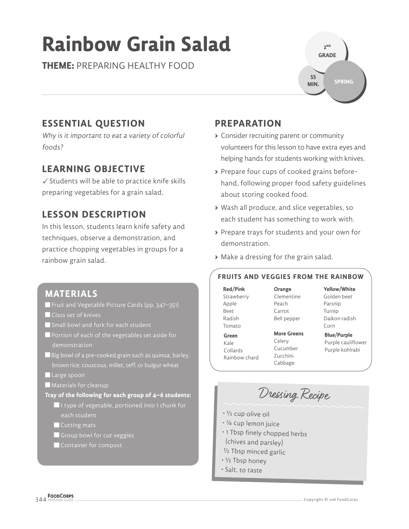# **Rainbow Grain Salad**

**THEME:** PREPARING HEALTHY FOOD

**2 ND GRADE SPRING 55 MIN.**

## **ESSENTIAL QUESTION**

Why is it important to eat a variety of colorful foods?

### **LEARNING OBJECTIVE**

 $\checkmark$  Students will be able to practice knife skills preparing vegetables for a grain salad.

## **LESSON DESCRIPTION**

In this lesson, students learn knife safety and techniques, observe a demonstration, and practice chopping vegetables in groups for a rainbow grain salad.

### **MATERIALS**

- Fruit and Vegetable Picture Cards (pp. 347–351)
- **Class set of knives**
- Small bowl and fork for each student
- Portion of each of the vegetables set aside for demonstration
- Big bowl of a pre-cooked grain such as quinoa, barley, brown rice, couscous, millet, teff, or bulgur wheat
- Large spoon
- **Materials for cleanup**
- **Tray of the following for each group of 4–6 students:**
	- ■1 type of vegetable, portioned into 1 chunk for each student
	- Cutting mats
	- Group bowl for cut veggies
	- Container for compost

### **PREPARATION**

- **>** Consider recruiting parent or community volunteers for this lesson to have extra eyes and helping hands for students working with knives.
- **>** Prepare four cups of cooked grains beforehand, following proper food safety guidelines about storing cooked food.
- **>** Wash all produce, and slice vegetables, so each student has something to work with.
- **>** Prepare trays for students and your own for demonstration.
- **>** Make a dressing for the grain salad.

#### **FRUITS AND VEGGIES FROM THE RAINBOW**

**Red/Pink** Strawberry Apple Beet Radish Tomato **Green** Kale Collards Rainbow chard

**Orange** Clementine Peach Carrot Bell pepper

**More Greens**  Celery Cucumber Zucchini Cabbage

Golden beet Parsnip Turnip Daikon radish Corn

**Yellow/White**

**Blue/Purple** Purple cauliflower Purple kohlrabi

Dressing Recipe

- ½ cup olive oil
- ¼ cup lemon juice
- 1 Tbsp finely chopped herbs (chives and parsley)
- <sup>½</sup> Tbsp minced garlic
- ½ Tbsp honey
- Salt, to taste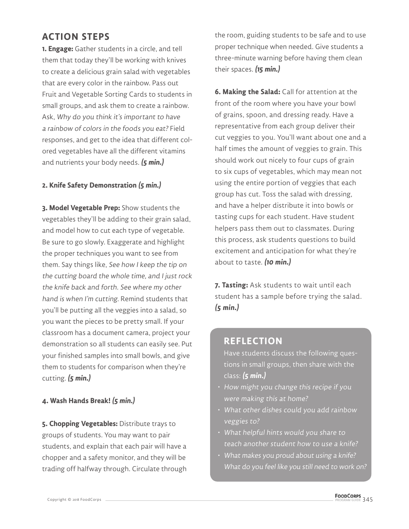### **ACTION STEPS**

**1. Engage:** Gather students in a circle, and tell them that today they'll be working with knives to create a delicious grain salad with vegetables that are every color in the rainbow. Pass out Fruit and Vegetable Sorting Cards to students in small groups, and ask them to create a rainbow. Ask, Why do you think it's important to have a rainbow of colors in the foods you eat? Field responses, and get to the idea that different colored vegetables have all the different vitamins and nutrients your body needs. **(5 min.)**

#### **2. Knife Safety Demonstration (5 min.)**

**3. Model Vegetable Prep:** Show students the vegetables they'll be adding to their grain salad, and model how to cut each type of vegetable. Be sure to go slowly. Exaggerate and highlight the proper techniques you want to see from them. Say things like, See how I keep the tip on the cutting board the whole time, and I just rock the knife back and forth. See where my other hand is when I'm cutting. Remind students that you'll be putting all the veggies into a salad, so you want the pieces to be pretty small. If your classroom has a document camera, project your demonstration so all students can easily see. Put your finished samples into small bowls, and give them to students for comparison when they're cutting. **(5 min.)**

#### **4. Wash Hands Break! (5 min.)**

**5. Chopping Vegetables:** Distribute trays to groups of students. You may want to pair students, and explain that each pair will have a chopper and a safety monitor, and they will be trading off halfway through. Circulate through

the room, guiding students to be safe and to use proper technique when needed. Give students a three-minute warning before having them clean their spaces. **(15 min.)**

**6. Making the Salad:** Call for attention at the front of the room where you have your bowl of grains, spoon, and dressing ready. Have a representative from each group deliver their cut veggies to you. You'll want about one and a half times the amount of veggies to grain. This should work out nicely to four cups of grain to six cups of vegetables, which may mean not using the entire portion of veggies that each group has cut. Toss the salad with dressing, and have a helper distribute it into bowls or tasting cups for each student. Have student helpers pass them out to classmates. During this process, ask students questions to build excitement and anticipation for what they're about to taste. **(10 min.)**

**7. Tasting:** Ask students to wait until each student has a sample before trying the salad. **(5 min.)**

#### **REFLECTION**

Have students discuss the following questions in small groups, then share with the class: **(5 min.)**

- How might you change this recipe if you were making this at home?
- What other dishes could you add rainbow veggies to?
- What helpful hints would you share to teach another student how to use a knife?
- What makes you proud about using a knife? What do you feel like you still need to work on?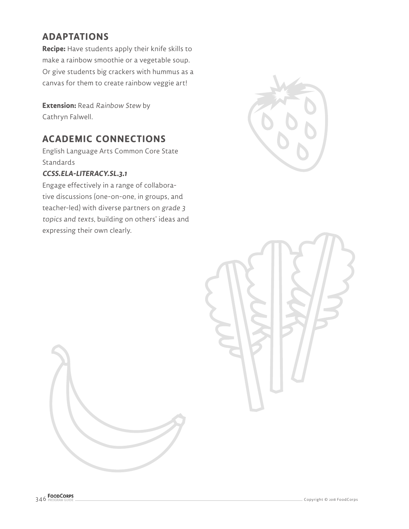## **ADAPTATIONS**

**Recipe:** Have students apply their knife skills to make a rainbow smoothie or a vegetable soup. Or give students big crackers with hummus as a canvas for them to create rainbow veggie art!

**Extension:** Read Rainbow Stew by Cathryn Falwell.

### **ACADEMIC CONNECTIONS**

English Language Arts Common Core State Standards

#### **CCSS.ELA-LITERACY.SL.3.1**

Engage effectively in a range of collaborative discussions (one-on-one, in groups, and teacher-led) with diverse partners on grade 3 topics and texts, building on others' ideas and expressing their own clearly.



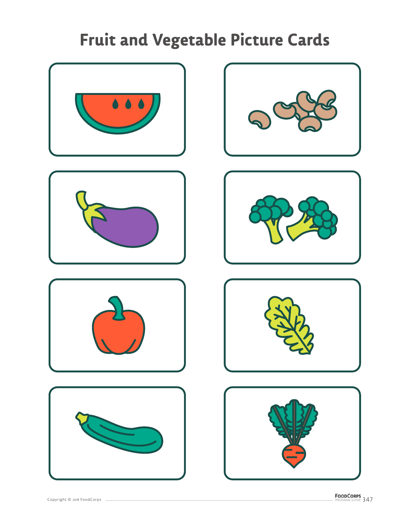













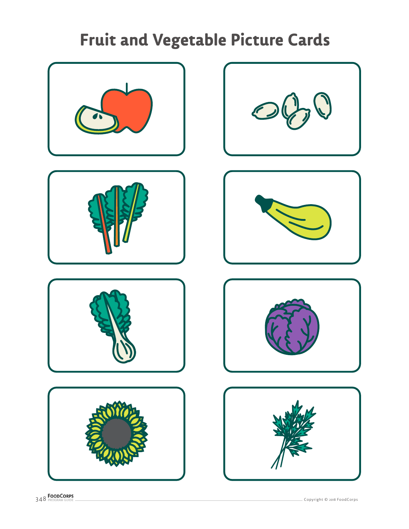













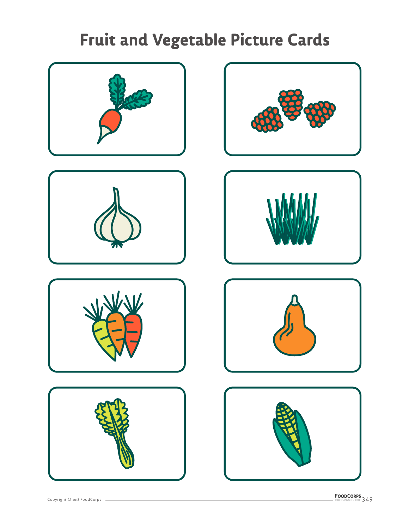













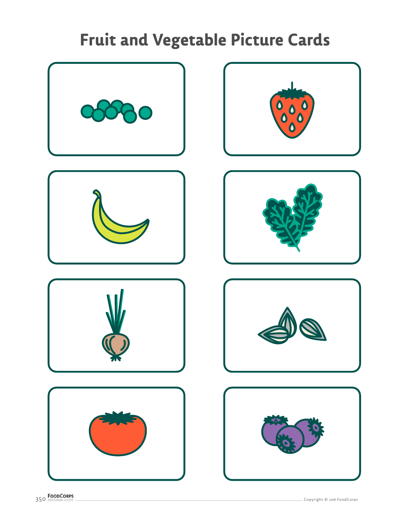